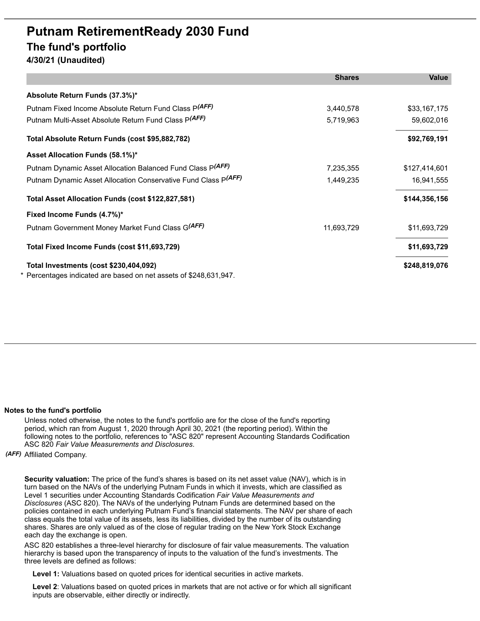## **Putnam RetirementReady 2030 Fund The fund's portfolio**

**4/30/21 (Unaudited)**

|                                                                                                             | <b>Shares</b> | <b>Value</b>  |
|-------------------------------------------------------------------------------------------------------------|---------------|---------------|
| Absolute Return Funds (37.3%)*                                                                              |               |               |
| Putnam Fixed Income Absolute Return Fund Class P(AFF)                                                       | 3,440,578     | \$33,167,175  |
| Putnam Multi-Asset Absolute Return Fund Class P(AFF)                                                        | 5,719,963     | 59,602,016    |
| Total Absolute Return Funds (cost \$95,882,782)                                                             |               | \$92,769,191  |
| Asset Allocation Funds (58.1%)*                                                                             |               |               |
| Putnam Dynamic Asset Allocation Balanced Fund Class P(AFF)                                                  | 7,235,355     | \$127,414,601 |
| Putnam Dynamic Asset Allocation Conservative Fund Class P(AFF)                                              | 1,449,235     | 16,941,555    |
| Total Asset Allocation Funds (cost \$122,827,581)                                                           |               | \$144,356,156 |
| Fixed Income Funds (4.7%)*                                                                                  |               |               |
| Putnam Government Money Market Fund Class G(AFF)                                                            | 11,693,729    | \$11,693,729  |
| Total Fixed Income Funds (cost \$11,693,729)                                                                |               | \$11,693,729  |
| Total Investments (cost \$230,404,092)<br>* Percentages indicated are based on net assets of \$248,631,947. |               | \$248,819,076 |

## **Notes to the fund's portfolio**

Unless noted otherwise, the notes to the fund's portfolio are for the close of the fund's reporting period, which ran from August 1, 2020 through April 30, 2021 (the reporting period). Within the following notes to the portfolio, references to "ASC 820" represent Accounting Standards Codification ASC 820 *Fair Value Measurements and Disclosures*.

*(AFF)* Affiliated Company.

**Security valuation:** The price of the fund's shares is based on its net asset value (NAV), which is in turn based on the NAVs of the underlying Putnam Funds in which it invests, which are classified as Level 1 securities under Accounting Standards Codification *Fair Value Measurements and Disclosures* (ASC 820). The NAVs of the underlying Putnam Funds are determined based on the policies contained in each underlying Putnam Fund's financial statements. The NAV per share of each class equals the total value of its assets, less its liabilities, divided by the number of its outstanding shares. Shares are only valued as of the close of regular trading on the New York Stock Exchange each day the exchange is open.

ASC 820 establishes a three-level hierarchy for disclosure of fair value measurements. The valuation hierarchy is based upon the transparency of inputs to the valuation of the fund's investments. The three levels are defined as follows:

**Level 1:** Valuations based on quoted prices for identical securities in active markets.

**Level 2**: Valuations based on quoted prices in markets that are not active or for which all significant inputs are observable, either directly or indirectly.